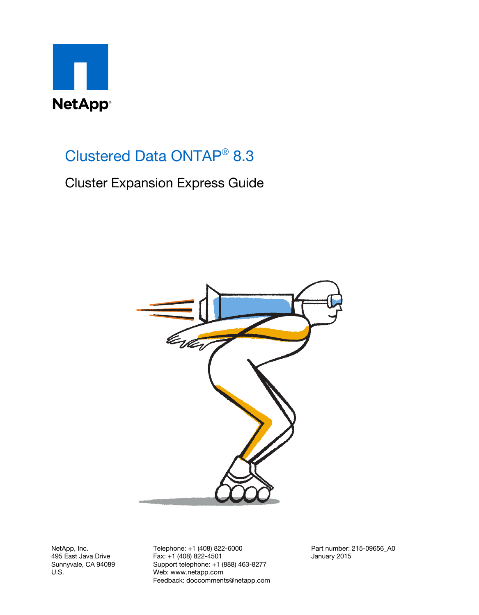

# Clustered Data ONTAP® 8.3

Cluster Expansion Express Guide



NetApp, Inc. 495 East Java Drive Sunnyvale, CA 94089 U.S.

Telephone: +1 (408) 822-6000 Fax: +1 (408) 822-4501 Support telephone: +1 (888) 463-8277 Web: www.netapp.com Feedback: doccomments@netapp.com Part number: 215-09656\_A0 January 2015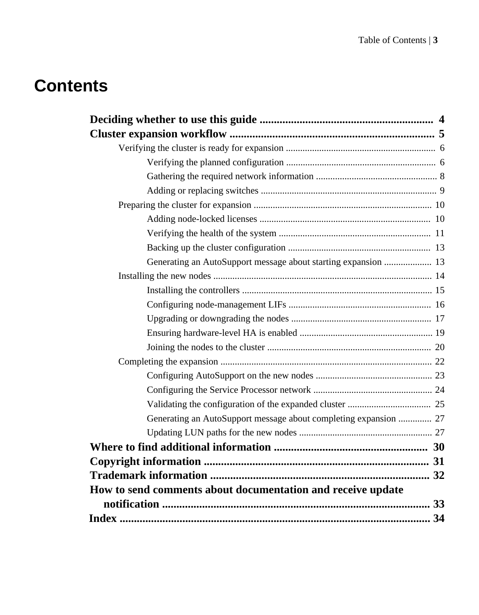# **Contents**

| Generating an AutoSupport message about starting expansion  13   |  |
|------------------------------------------------------------------|--|
|                                                                  |  |
|                                                                  |  |
|                                                                  |  |
|                                                                  |  |
|                                                                  |  |
|                                                                  |  |
|                                                                  |  |
|                                                                  |  |
|                                                                  |  |
|                                                                  |  |
| Generating an AutoSupport message about completing expansion  27 |  |
|                                                                  |  |
|                                                                  |  |
|                                                                  |  |
|                                                                  |  |
| How to send comments about documentation and receive update      |  |
|                                                                  |  |
|                                                                  |  |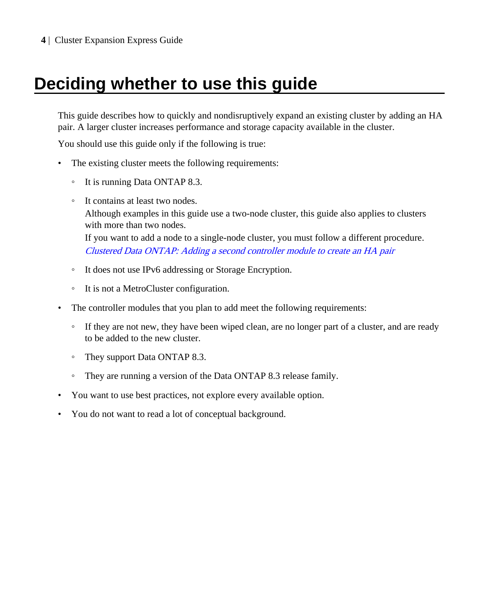# <span id="page-3-0"></span>**Deciding whether to use this guide**

This guide describes how to quickly and nondisruptively expand an existing cluster by adding an HA pair. A larger cluster increases performance and storage capacity available in the cluster.

You should use this guide only if the following is true:

- The existing cluster meets the following requirements:
	- It is running Data ONTAP 8.3.
	- It contains at least two nodes. Although examples in this guide use a two-node cluster, this guide also applies to clusters with more than two nodes. If you want to add a node to a single-node cluster, you must follow a different procedure. [Clustered Data ONTAP: Adding a second controller module to create an HA pair](https://library.netapp.com/ecm/ecm_download_file/ECMP1157167)
	- It does not use IPv6 addressing or Storage Encryption.
	- It is not a MetroCluster configuration.
- The controller modules that you plan to add meet the following requirements:
	- If they are not new, they have been wiped clean, are no longer part of a cluster, and are ready to be added to the new cluster.
	- They support Data ONTAP 8.3.
	- They are running a version of the Data ONTAP 8.3 release family.
- You want to use best practices, not explore every available option.
- You do not want to read a lot of conceptual background.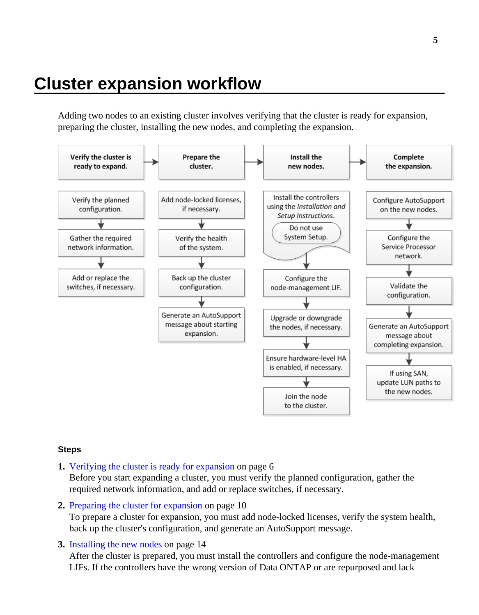# <span id="page-4-0"></span>**Cluster expansion workflow**

Adding two nodes to an existing cluster involves verifying that the cluster is ready for expansion, preparing the cluster, installing the new nodes, and completing the expansion.



#### **Steps**

- **1.** [Verifying the cluster is ready for expansion](#page-5-0) on page 6 Before you start expanding a cluster, you must verify the planned configuration, gather the required network information, and add or replace switches, if necessary.
- **2.** [Preparing the cluster for expansion](#page-9-0) on page 10 To prepare a cluster for expansion, you must add node-locked licenses, verify the system health, back up the cluster's configuration, and generate an AutoSupport message.
- **3.** [Installing the new nodes](#page-13-0) on page 14

After the cluster is prepared, you must install the controllers and configure the node-management LIFs. If the controllers have the wrong version of Data ONTAP or are repurposed and lack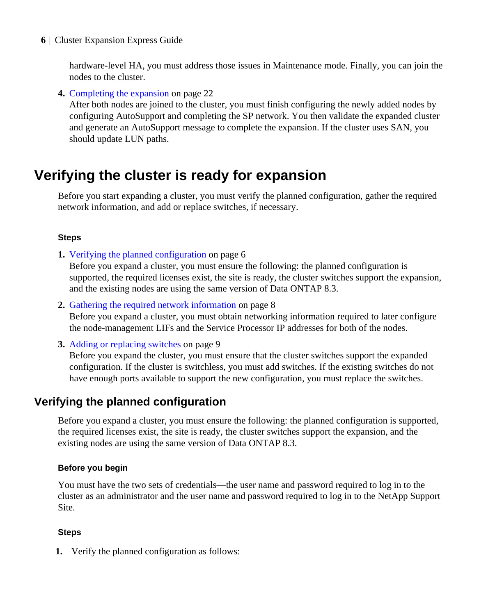<span id="page-5-0"></span>hardware-level HA, you must address those issues in Maintenance mode. Finally, you can join the nodes to the cluster.

**4.** [Completing the expansion](#page-21-0) on page 22

After both nodes are joined to the cluster, you must finish configuring the newly added nodes by configuring AutoSupport and completing the SP network. You then validate the expanded cluster and generate an AutoSupport message to complete the expansion. If the cluster uses SAN, you should update LUN paths.

# **Verifying the cluster is ready for expansion**

Before you start expanding a cluster, you must verify the planned configuration, gather the required network information, and add or replace switches, if necessary.

#### **Steps**

**1.** Verifying the planned configuration on page 6

Before you expand a cluster, you must ensure the following: the planned configuration is supported, the required licenses exist, the site is ready, the cluster switches support the expansion, and the existing nodes are using the same version of Data ONTAP 8.3.

**2.** [Gathering the required network information](#page-7-0) on page 8

Before you expand a cluster, you must obtain networking information required to later configure the node-management LIFs and the Service Processor IP addresses for both of the nodes.

**3.** [Adding or replacing switches](#page-8-0) on page 9

Before you expand the cluster, you must ensure that the cluster switches support the expanded configuration. If the cluster is switchless, you must add switches. If the existing switches do not have enough ports available to support the new configuration, you must replace the switches.

## **Verifying the planned configuration**

Before you expand a cluster, you must ensure the following: the planned configuration is supported, the required licenses exist, the site is ready, the cluster switches support the expansion, and the existing nodes are using the same version of Data ONTAP 8.3.

#### **Before you begin**

You must have the two sets of credentials—the user name and password required to log in to the cluster as an administrator and the user name and password required to log in to the NetApp Support Site.

### **Steps**

**1.** Verify the planned configuration as follows: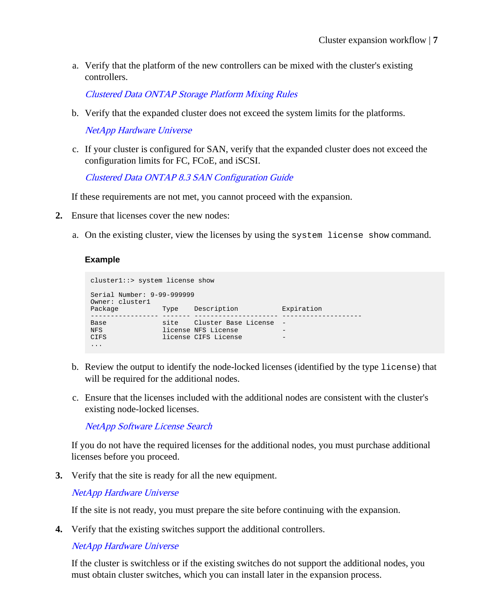a. Verify that the platform of the new controllers can be mixed with the cluster's existing controllers.

[Clustered Data ONTAP Storage Platform Mixing Rules](https://library.netapp.com/ecm/ecm_download_file/ECMP1644424)

b. Verify that the expanded cluster does not exceed the system limits for the platforms.

[NetApp Hardware Universe](https://hwu.netapp.com)

c. If your cluster is configured for SAN, verify that the expanded cluster does not exceed the configuration limits for FC, FCoE, and iSCSI.

[Clustered Data ONTAP 8.3 SAN Configuration Guide](https://library.netapp.com/ecm/ecm_download_file/ECMP1636036)

If these requirements are not met, you cannot proceed with the expansion.

- **2.** Ensure that licenses cover the new nodes:
	- a. On the existing cluster, view the licenses by using the system license show command.

#### **Example**

```
cluster1::> system license show
Serial Number: 9-99-999999
Owner: cluster1
Package Type Description Expiration
----------------- ------- --------------------- --------------------
Base site Cluster Base License -
NFS license NFS License -
CIFS license CIFS License -
...
```
- b. Review the output to identify the node-locked licenses (identified by the type license) that will be required for the additional nodes.
- c. Ensure that the licenses included with the additional nodes are consistent with the cluster's existing node-locked licenses.

[NetApp Software License Search](http://mysupport.netapp.com/licenses)

If you do not have the required licenses for the additional nodes, you must purchase additional licenses before you proceed.

**3.** Verify that the site is ready for all the new equipment.

[NetApp Hardware Universe](https://hwu.netapp.com)

If the site is not ready, you must prepare the site before continuing with the expansion.

**4.** Verify that the existing switches support the additional controllers.

[NetApp Hardware Universe](https://hwu.netapp.com)

If the cluster is switchless or if the existing switches do not support the additional nodes, you must obtain cluster switches, which you can install later in the expansion process.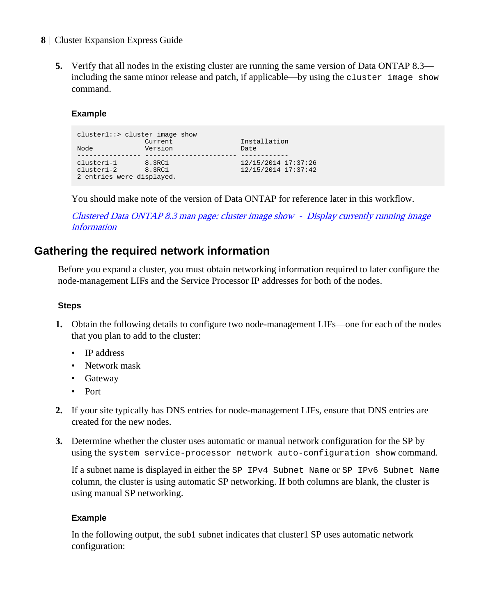<span id="page-7-0"></span>**5.** Verify that all nodes in the existing cluster are running the same version of Data ONTAP 8.3 including the same minor release and patch, if applicable—by using the cluster image show command.

#### **Example**

```
cluster1::> cluster image show
Current Installation<br>
Node Version Date
                Version
                                  12/15/2014 17:37:26
cluster1-1 8.3RC1 12/15/2014 17:37:26
cluster1-2 8.3RC1 12/15/2014 17:37:42
2 entries were displayed.
```
You should make note of the version of Data ONTAP for reference later in this workflow.

[Clustered Data ONTAP 8.3 man page: cluster image show - Display currently running image](https://library.netapp.com/ecmdocs/ECMP1610202/html/cluster/image/show.html) [information](https://library.netapp.com/ecmdocs/ECMP1610202/html/cluster/image/show.html)

## **Gathering the required network information**

Before you expand a cluster, you must obtain networking information required to later configure the node-management LIFs and the Service Processor IP addresses for both of the nodes.

#### **Steps**

- **1.** Obtain the following details to configure two node-management LIFs—one for each of the nodes that you plan to add to the cluster:
	- IP address
	- Network mask
	- Gateway
	- Port
- **2.** If your site typically has DNS entries for node-management LIFs, ensure that DNS entries are created for the new nodes.
- **3.** Determine whether the cluster uses automatic or manual network configuration for the SP by using the system service-processor network auto-configuration show command.

If a subnet name is displayed in either the SP IPv4 Subnet Name or SP IPv6 Subnet Name column, the cluster is using automatic SP networking. If both columns are blank, the cluster is using manual SP networking.

#### **Example**

In the following output, the sub1 subnet indicates that cluster1 SP uses automatic network configuration: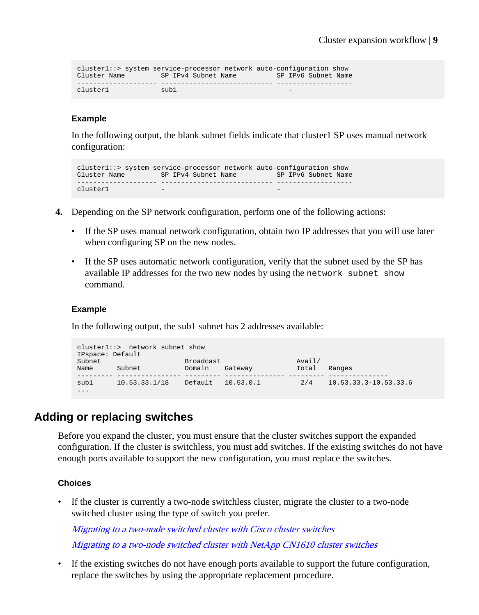```
cluster1::> system service-processor network auto-configuration show
Cluster Name SP IPv4 Subnet Name SP IPv6 Subnet Name
-------------------- ---------------------------- -------------------
cluster1 sub1
```
#### **Example**

In the following output, the blank subnet fields indicate that cluster1 SP uses manual network configuration:

```
cluster1::> system service-processor network auto-configuration show
Cluster Name SP IPv4 Subnet Name SP IPv6 Subnet Name
-------------------- ---------------------------- -------------------
cluster1
```
- **4.** Depending on the SP network configuration, perform one of the following actions:
	- If the SP uses manual network configuration, obtain two IP addresses that you will use later when configuring SP on the new nodes.
	- If the SP uses automatic network configuration, verify that the subnet used by the SP has available IP addresses for the two new nodes by using the network subnet show command.

#### **Example**

In the following output, the sub1 subnet has 2 addresses available:

```
cluster1::> network subnet show
IPspace: Default
Subnet Broadcast Avail/
Name Subnet Domain Gateway Total Ranges
       --------- ---------------- --------- --------------- --------- ---------------
sub1 10.53.33.1/18 Default 10.53.0.1 2/4 10.53.33.3-10.53.33.6
...
```
## **Adding or replacing switches**

Before you expand the cluster, you must ensure that the cluster switches support the expanded configuration. If the cluster is switchless, you must add switches. If the existing switches do not have enough ports available to support the new configuration, you must replace the switches.

#### **Choices**

• If the cluster is currently a two-node switchless cluster, migrate the cluster to a two-node switched cluster using the type of switch you prefer.

[Migrating to a two-node switched cluster with Cisco cluster switches](https://library.netapp.com/ecm/ecm_download_file/ECMP1140536) [Migrating to a two-node switched cluster with NetApp CN1610 cluster switches](https://library.netapp.com/ecm/ecm_download_file/ECMP1140535)

• If the existing switches do not have enough ports available to support the future configuration, replace the switches by using the appropriate replacement procedure.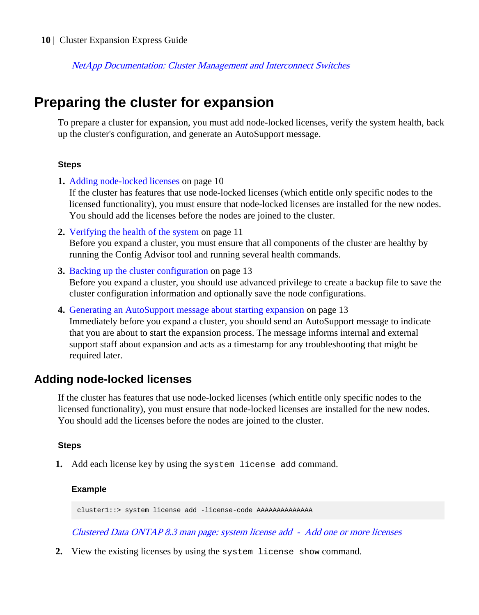<span id="page-9-0"></span>[NetApp Documentation: Cluster Management and Interconnect Switches](http://mysupport.netapp.com/documentation/productlibrary/index.html?productID=61470)

# **Preparing the cluster for expansion**

To prepare a cluster for expansion, you must add node-locked licenses, verify the system health, back up the cluster's configuration, and generate an AutoSupport message.

#### **Steps**

**1.** Adding node-locked licenses on page 10

If the cluster has features that use node-locked licenses (which entitle only specific nodes to the licensed functionality), you must ensure that node-locked licenses are installed for the new nodes. You should add the licenses before the nodes are joined to the cluster.

- **2.** [Verifying the health of the system](#page-10-0) on page 11 Before you expand a cluster, you must ensure that all components of the cluster are healthy by running the Config Advisor tool and running several health commands.
- **3.** [Backing up the cluster configuration](#page-12-0) on page 13 Before you expand a cluster, you should use advanced privilege to create a backup file to save the cluster configuration information and optionally save the node configurations.
- **4.** [Generating an AutoSupport message about starting expansion](#page-12-0) on page 13

Immediately before you expand a cluster, you should send an AutoSupport message to indicate that you are about to start the expansion process. The message informs internal and external support staff about expansion and acts as a timestamp for any troubleshooting that might be required later.

### **Adding node-locked licenses**

If the cluster has features that use node-locked licenses (which entitle only specific nodes to the licensed functionality), you must ensure that node-locked licenses are installed for the new nodes. You should add the licenses before the nodes are joined to the cluster.

#### **Steps**

**1.** Add each license key by using the system license add command.

#### **Example**

cluster1::> system license add -license-code AAAAAAAAAAAAAA

[Clustered Data ONTAP 8.3 man page: system license add - Add one or more licenses](https://library.netapp.com/ecmdocs/ECMP1610202/html/system/license/add.html)

**2.** View the existing licenses by using the system license show command.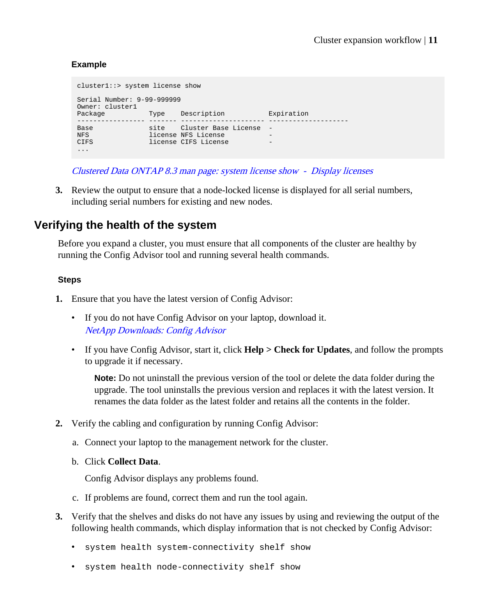#### <span id="page-10-0"></span>**Example**

```
cluster1::> system license show
Serial Number: 9-99-999999
Owner: cluster1<br>Package
                        Type Description Expiration
----------------- ------- --------------------- --------------------
Base site Cluster Base License -
NFS license NFS License -
CIFS license CIFS License -
...
```
[Clustered Data ONTAP 8.3 man page: system license show - Display licenses](https://library.netapp.com/ecmdocs/ECMP1610202/html/system/license/show.html)

**3.** Review the output to ensure that a node-locked license is displayed for all serial numbers, including serial numbers for existing and new nodes.

## **Verifying the health of the system**

Before you expand a cluster, you must ensure that all components of the cluster are healthy by running the Config Advisor tool and running several health commands.

#### **Steps**

- **1.** Ensure that you have the latest version of Config Advisor:
	- If you do not have Config Advisor on your laptop, download it. [NetApp Downloads: Config Advisor](http://mysupport.netapp.com/NOW/download/tools/config_advisor/)
	- If you have Config Advisor, start it, click **Help > Check for Updates**, and follow the prompts to upgrade it if necessary.

**Note:** Do not uninstall the previous version of the tool or delete the data folder during the upgrade. The tool uninstalls the previous version and replaces it with the latest version. It renames the data folder as the latest folder and retains all the contents in the folder.

- **2.** Verify the cabling and configuration by running Config Advisor:
	- a. Connect your laptop to the management network for the cluster.
	- b. Click **Collect Data**.

Config Advisor displays any problems found.

- c. If problems are found, correct them and run the tool again.
- **3.** Verify that the shelves and disks do not have any issues by using and reviewing the output of the following health commands, which display information that is not checked by Config Advisor:
	- system health system-connectivity shelf show
	- system health node-connectivity shelf show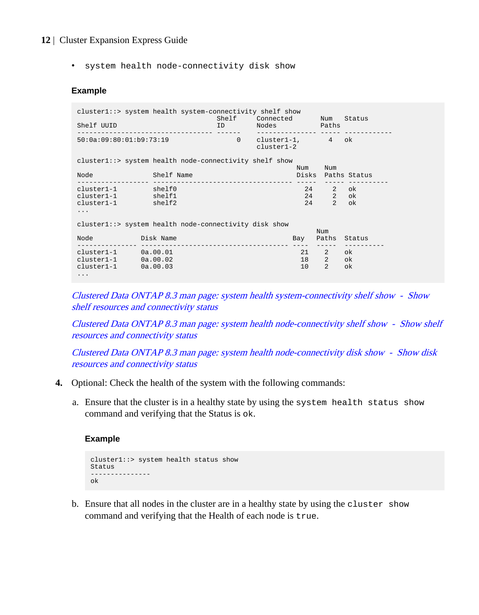• system health node-connectivity disk show

#### **Example**

|                                                        | cluster1::> system health system-connectivity shelf show | Shelf    | Connected                      |     |                                | Num Status                             |  |
|--------------------------------------------------------|----------------------------------------------------------|----------|--------------------------------|-----|--------------------------------|----------------------------------------|--|
| Shelf UUID                                             |                                                          | ID       | Nodes Paths                    |     |                                |                                        |  |
| 50:0a:09:80:01:b9:73:19                                |                                                          | $\Omega$ | cluster1-1, 4 ok<br>cluster1-2 |     |                                |                                        |  |
| cluster1::> system health node-connectivity shelf show |                                                          |          |                                |     |                                |                                        |  |
|                                                        |                                                          |          |                                | Num | Num                            |                                        |  |
| Node                                                   | and the Shelf Name                                       |          |                                |     |                                | Disks Paths Status<br>------ --------- |  |
| cluster1-1 shelf0                                      |                                                          |          |                                | 24  | $2^{\circ}$                    | ok                                     |  |
| cluster1-1 shelf1                                      |                                                          |          |                                | 24  | $2^{\circ}$                    | ok                                     |  |
| cluster1-1 shelf2                                      |                                                          |          |                                | 24  | $2^{\circ}$                    | ok                                     |  |
| $\cdot$ $\cdot$ $\cdot$                                |                                                          |          |                                |     |                                |                                        |  |
| cluster1::> system health node-connectivity disk show  |                                                          |          |                                |     |                                |                                        |  |
|                                                        |                                                          |          |                                |     | Num                            |                                        |  |
| Node Disk Name                                         |                                                          |          |                                |     | ------                         | Bay Paths Status                       |  |
| $cluster1 - 1$ $0a.00.01$                              |                                                          |          |                                | 21  | $2 \left( \frac{1}{2} \right)$ | ok.                                    |  |
| $cluster1 - 1$ $0a.00.02$                              |                                                          |          |                                | 18  | 2 ok                           |                                        |  |
| $cluster1 - 1$ $0a.00.03$                              |                                                          |          |                                | 10  | $\overline{2}$                 | ok                                     |  |
| $\cdot$ $\cdot$ $\cdot$                                |                                                          |          |                                |     |                                |                                        |  |
|                                                        |                                                          |          |                                |     |                                |                                        |  |

[Clustered Data ONTAP 8.3 man page: system health system-connectivity shelf show - Show](https://library.netapp.com/ecmdocs/ECMP1610202/html/system/health/system-connectivity/shelf/show.html) [shelf resources and connectivity status](https://library.netapp.com/ecmdocs/ECMP1610202/html/system/health/system-connectivity/shelf/show.html)

[Clustered Data ONTAP 8.3 man page: system health node-connectivity shelf show - Show shelf](https://library.netapp.com/ecmdocs/ECMP1610202/html/system/health/node-connectivity/shelf/show.html) [resources and connectivity status](https://library.netapp.com/ecmdocs/ECMP1610202/html/system/health/node-connectivity/shelf/show.html)

[Clustered Data ONTAP 8.3 man page: system health node-connectivity disk show - Show disk](https://library.netapp.com/ecmdocs/ECMP1610202/html/system/health/node-connectivity/disk/show.html) [resources and connectivity status](https://library.netapp.com/ecmdocs/ECMP1610202/html/system/health/node-connectivity/disk/show.html)

- **4.** Optional: Check the health of the system with the following commands:
	- a. Ensure that the cluster is in a healthy state by using the system health status show command and verifying that the Status is ok.

#### **Example**

```
cluster1::> system health status show
Status
---------------
ok
```
b. Ensure that all nodes in the cluster are in a healthy state by using the cluster show command and verifying that the Health of each node is true.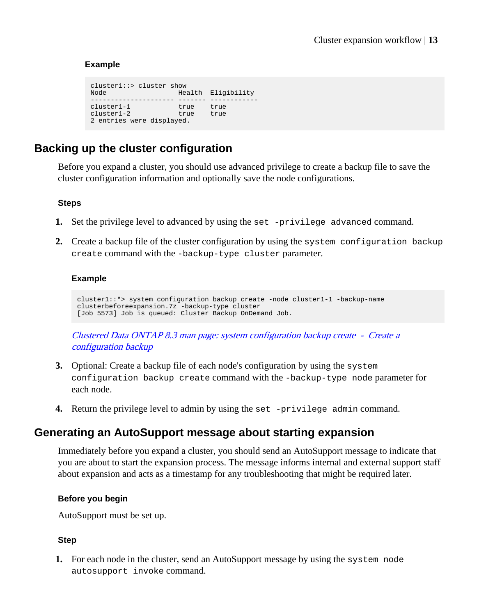#### <span id="page-12-0"></span>**Example**

cluster1::> cluster show<br>Node Hea Health Eligibility --------------------- ------- ----------- cluster1-1 true true cluster1-2 true true 2 entries were displayed.

## **Backing up the cluster configuration**

Before you expand a cluster, you should use advanced privilege to create a backup file to save the cluster configuration information and optionally save the node configurations.

#### **Steps**

- **1.** Set the privilege level to advanced by using the set -privilege advanced command.
- **2.** Create a backup file of the cluster configuration by using the system configuration backup create command with the -backup-type cluster parameter.

#### **Example**

```
cluster1::*> system configuration backup create -node cluster1-1 -backup-name 
clusterbeforeexpansion.7z -backup-type cluster
[Job 5573] Job is queued: Cluster Backup OnDemand Job.
```
[Clustered Data ONTAP 8.3 man page: system configuration backup create - Create a](https://library.netapp.com/ecmdocs/ECMP1610202/html/system/configuration/backup/create.html) [configuration backup](https://library.netapp.com/ecmdocs/ECMP1610202/html/system/configuration/backup/create.html)

- **3.** Optional: Create a backup file of each node's configuration by using the system configuration backup create command with the -backup-type node parameter for each node.
- **4.** Return the privilege level to admin by using the set -privilege admin command.

### **Generating an AutoSupport message about starting expansion**

Immediately before you expand a cluster, you should send an AutoSupport message to indicate that you are about to start the expansion process. The message informs internal and external support staff about expansion and acts as a timestamp for any troubleshooting that might be required later.

#### **Before you begin**

AutoSupport must be set up.

#### **Step**

**1.** For each node in the cluster, send an AutoSupport message by using the system node autosupport invoke command.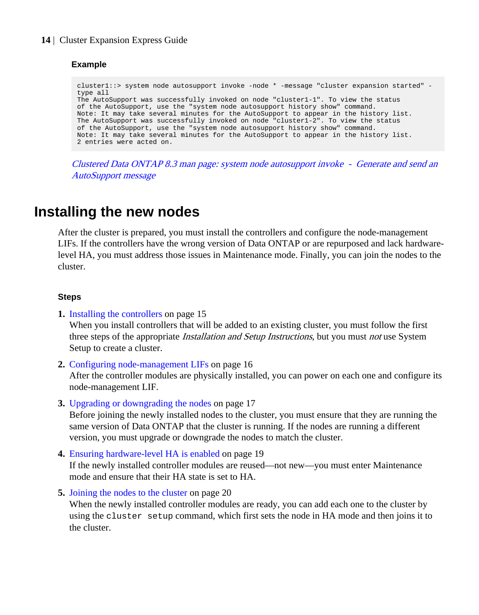#### <span id="page-13-0"></span>**Example**

```
cluster1::> system node autosupport invoke -node * -message "cluster expansion started" -
type all
The AutoSupport was successfully invoked on node "cluster1-1". To view the status 
of the AutoSupport, use the "system node autosupport history show" command. 
Note: It may take several minutes for the AutoSupport to appear in the history list.
The AutoSupport was successfully invoked on node "cluster1-2". To view the status 
of the AutoSupport, use the "system node autosupport history show" command. 
Note: It may take several minutes for the AutoSupport to appear in the history list.
2 entries were acted on.
```
[Clustered Data ONTAP 8.3 man page: system node autosupport invoke - Generate and send an](https://library.netapp.com/ecmdocs/ECMP1610202/html/system/node/autosupport/invoke.html) [AutoSupport message](https://library.netapp.com/ecmdocs/ECMP1610202/html/system/node/autosupport/invoke.html)

# **Installing the new nodes**

After the cluster is prepared, you must install the controllers and configure the node-management LIFs. If the controllers have the wrong version of Data ONTAP or are repurposed and lack hardwarelevel HA, you must address those issues in Maintenance mode. Finally, you can join the nodes to the cluster.

#### **Steps**

- **1.** [Installing the controllers](#page-14-0) on page 15 When you install controllers that will be added to an existing cluster, you must follow the first three steps of the appropriate *Installation and Setup Instructions*, but you must *not* use System Setup to create a cluster.
- **2.** [Configuring node-management LIFs](#page-15-0) on page 16

After the controller modules are physically installed, you can power on each one and configure its node-management LIF.

**3.** [Upgrading or downgrading the nodes](#page-16-0) on page 17

Before joining the newly installed nodes to the cluster, you must ensure that they are running the same version of Data ONTAP that the cluster is running. If the nodes are running a different version, you must upgrade or downgrade the nodes to match the cluster.

**4.** [Ensuring hardware-level HA is enabled](#page-18-0) on page 19

If the newly installed controller modules are reused—not new—you must enter Maintenance mode and ensure that their HA state is set to HA.

**5.** [Joining the nodes to the cluster](#page-19-0) on page 20

When the newly installed controller modules are ready, you can add each one to the cluster by using the cluster setup command, which first sets the node in HA mode and then joins it to the cluster.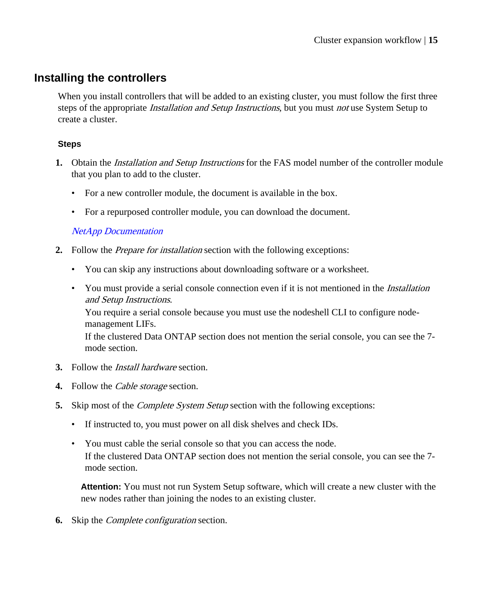## <span id="page-14-0"></span>**Installing the controllers**

When you install controllers that will be added to an existing cluster, you must follow the first three steps of the appropriate *Installation and Setup Instructions*, but you must *not* use System Setup to create a cluster.

#### **Steps**

- **1.** Obtain the Installation and Setup Instructions for the FAS model number of the controller module that you plan to add to the cluster.
	- For a new controller module, the document is available in the box.
	- For a repurposed controller module, you can download the document.

[NetApp Documentation](http://mysupport.netapp.com/portal/documentation)

- **2.** Follow the Prepare for installation section with the following exceptions:
	- You can skip any instructions about downloading software or a worksheet.
	- You must provide a serial console connection even if it is not mentioned in the *Installation* and Setup Instructions.

You require a serial console because you must use the nodeshell CLI to configure nodemanagement LIFs.

If the clustered Data ONTAP section does not mention the serial console, you can see the 7 mode section.

- **3.** Follow the Install hardware section.
- **4.** Follow the Cable storage section.
- **5.** Skip most of the *Complete System Setup* section with the following exceptions:
	- If instructed to, you must power on all disk shelves and check IDs.
	- You must cable the serial console so that you can access the node. If the clustered Data ONTAP section does not mention the serial console, you can see the 7 mode section.

**Attention:** You must not run System Setup software, which will create a new cluster with the new nodes rather than joining the nodes to an existing cluster.

**6.** Skip the Complete configuration section.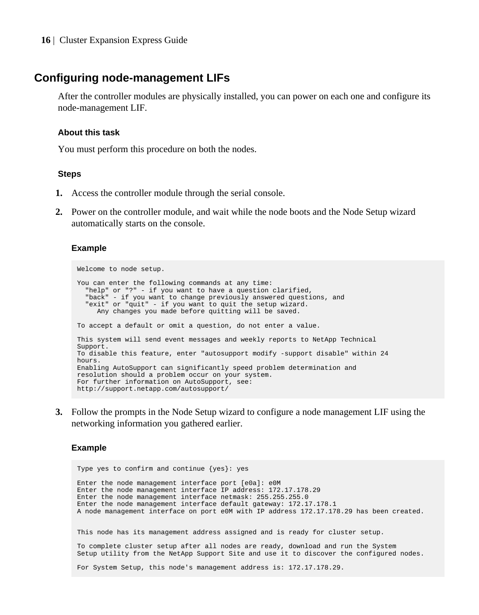## <span id="page-15-0"></span>**Configuring node-management LIFs**

After the controller modules are physically installed, you can power on each one and configure its node-management LIF.

#### **About this task**

You must perform this procedure on both the nodes.

#### **Steps**

- **1.** Access the controller module through the serial console.
- **2.** Power on the controller module, and wait while the node boots and the Node Setup wizard automatically starts on the console.

#### **Example**

```
Welcome to node setup.
You can enter the following commands at any time:
   "help" or "?" - if you want to have a question clarified,
   "back" - if you want to change previously answered questions, and
   "exit" or "quit" - if you want to quit the setup wizard.
     Any changes you made before quitting will be saved.
To accept a default or omit a question, do not enter a value.
This system will send event messages and weekly reports to NetApp Technical
Support.
To disable this feature, enter "autosupport modify -support disable" within 24
hours.
Enabling AutoSupport can significantly speed problem determination and
resolution should a problem occur on your system.
For further information on AutoSupport, see:
http://support.netapp.com/autosupport/
```
**3.** Follow the prompts in the Node Setup wizard to configure a node management LIF using the networking information you gathered earlier.

#### **Example**

```
Type yes to confirm and continue {yes}: yes
Enter the node management interface port [e0a]: e0M
Enter the node management interface IP address: 172.17.178.29
Enter the node management interface netmask: 255.255.255.0
Enter the node management interface default gateway: 172.17.178.1
A node management interface on port e0M with IP address 172.17.178.29 has been created.
This node has its management address assigned and is ready for cluster setup.
To complete cluster setup after all nodes are ready, download and run the System 
Setup utility from the NetApp Support Site and use it to discover the configured nodes.
For System Setup, this node's management address is: 172.17.178.29.
```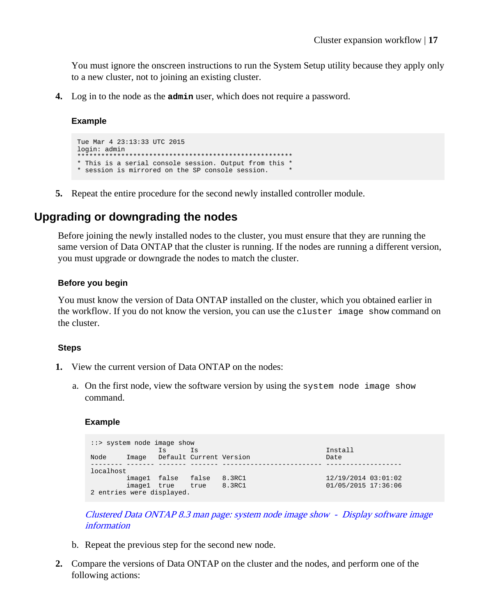<span id="page-16-0"></span>You must ignore the onscreen instructions to run the System Setup utility because they apply only to a new cluster, not to joining an existing cluster.

**4.** Log in to the node as the **admin** user, which does not require a password.

#### **Example**

```
Tue Mar 4 23:13:33 UTC 2015
login: admin
  ******************************************************
* This is a serial console session. Output from this *
* session is mirrored on the SP console session. *
```
**5.** Repeat the entire procedure for the second newly installed controller module.

## **Upgrading or downgrading the nodes**

Before joining the newly installed nodes to the cluster, you must ensure that they are running the same version of Data ONTAP that the cluster is running. If the nodes are running a different version, you must upgrade or downgrade the nodes to match the cluster.

#### **Before you begin**

You must know the version of Data ONTAP installed on the cluster, which you obtained earlier in the workflow. If you do not know the version, you can use the cluster image show command on the cluster.

#### **Steps**

- **1.** View the current version of Data ONTAP on the nodes:
	- a. On the first node, view the software version by using the system node image show command.

#### **Example**

```
::> system node image show
 Is Is Install
Node Image Default Current Version Date
          -------- ------- ------- ------- ------------------------- -------------------
localhost
 image1 false false 8.3RC1 12/19/2014 03:01:02<br>image1 true true 8.3RC1 01/05/2015 17:36:06
         image1 true true 8.3RC1
2 entries were displayed.
```
[Clustered Data ONTAP 8.3 man page: system node image show - Display software image](https://library.netapp.com/ecmdocs/ECMP1610202/html/system/node/image/show.html) [information](https://library.netapp.com/ecmdocs/ECMP1610202/html/system/node/image/show.html)

- b. Repeat the previous step for the second new node.
- **2.** Compare the versions of Data ONTAP on the cluster and the nodes, and perform one of the following actions: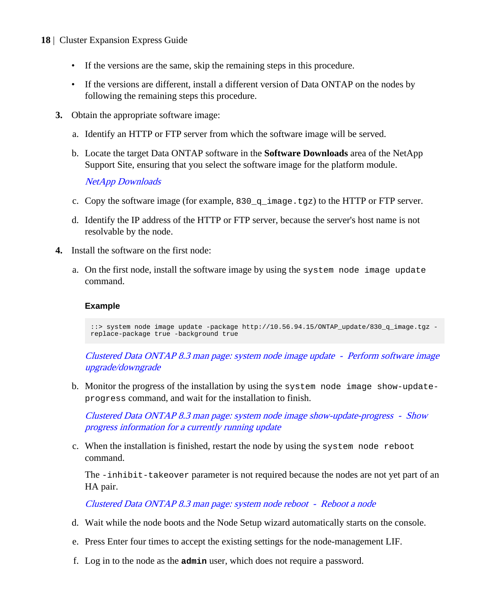- If the versions are the same, skip the remaining steps in this procedure.
- If the versions are different, install a different version of Data ONTAP on the nodes by following the remaining steps this procedure.
- **3.** Obtain the appropriate software image:
	- a. Identify an HTTP or FTP server from which the software image will be served.
	- b. Locate the target Data ONTAP software in the **Software Downloads** area of the NetApp Support Site, ensuring that you select the software image for the platform module.

[NetApp Downloads](http://mysupport.netapp.com/eservice/Download.jsp/)

- c. Copy the software image (for example, 830\_q\_image.tgz) to the HTTP or FTP server.
- d. Identify the IP address of the HTTP or FTP server, because the server's host name is not resolvable by the node.
- **4.** Install the software on the first node:
	- a. On the first node, install the software image by using the system node image update command.

#### **Example**

::> system node image update -package http://10.56.94.15/ONTAP\_update/830\_q\_image.tgz replace-package true -background true

[Clustered Data ONTAP 8.3 man page: system node image update - Perform software image](https://library.netapp.com/ecmdocs/ECMP1610202/html/system/node/image/update.html) [upgrade/downgrade](https://library.netapp.com/ecmdocs/ECMP1610202/html/system/node/image/update.html)

b. Monitor the progress of the installation by using the system node image show-updateprogress command, and wait for the installation to finish.

[Clustered Data ONTAP 8.3 man page: system node image show-update-progress - Show](https://library.netapp.com/ecmdocs/ECMP1610202/html/system/node/image/show-update-progress.html) progress [information for a currently running update](https://library.netapp.com/ecmdocs/ECMP1610202/html/system/node/image/show-update-progress.html)

c. When the installation is finished, restart the node by using the system node reboot command.

The -inhibit-takeover parameter is not required because the nodes are not yet part of an HA pair.

[Clustered Data ONTAP 8.3 man page: system node reboot - Reboot a node](https://library.netapp.com/ecmdocs/ECMP1610202/html/system/node/reboot.html)

- d. Wait while the node boots and the Node Setup wizard automatically starts on the console.
- e. Press Enter four times to accept the existing settings for the node-management LIF.
- f. Log in to the node as the **admin** user, which does not require a password.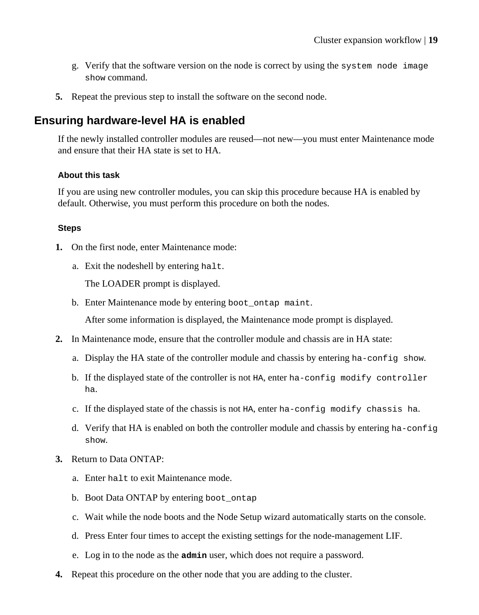- <span id="page-18-0"></span>g. Verify that the software version on the node is correct by using the system node image show command.
- **5.** Repeat the previous step to install the software on the second node.

## **Ensuring hardware-level HA is enabled**

If the newly installed controller modules are reused—not new—you must enter Maintenance mode and ensure that their HA state is set to HA.

#### **About this task**

If you are using new controller modules, you can skip this procedure because HA is enabled by default. Otherwise, you must perform this procedure on both the nodes.

#### **Steps**

- **1.** On the first node, enter Maintenance mode:
	- a. Exit the nodeshell by entering halt.

The LOADER prompt is displayed.

b. Enter Maintenance mode by entering boot ontap maint.

After some information is displayed, the Maintenance mode prompt is displayed.

- **2.** In Maintenance mode, ensure that the controller module and chassis are in HA state:
	- a. Display the HA state of the controller module and chassis by entering ha-config show.
	- b. If the displayed state of the controller is not HA, enter ha-config modify controller ha.
	- c. If the displayed state of the chassis is not HA, enter ha-config modify chassis ha.
	- d. Verify that HA is enabled on both the controller module and chassis by entering ha-config show.
- **3.** Return to Data ONTAP:
	- a. Enter halt to exit Maintenance mode.
	- b. Boot Data ONTAP by entering boot ontap
	- c. Wait while the node boots and the Node Setup wizard automatically starts on the console.
	- d. Press Enter four times to accept the existing settings for the node-management LIF.
	- e. Log in to the node as the **admin** user, which does not require a password.
- **4.** Repeat this procedure on the other node that you are adding to the cluster.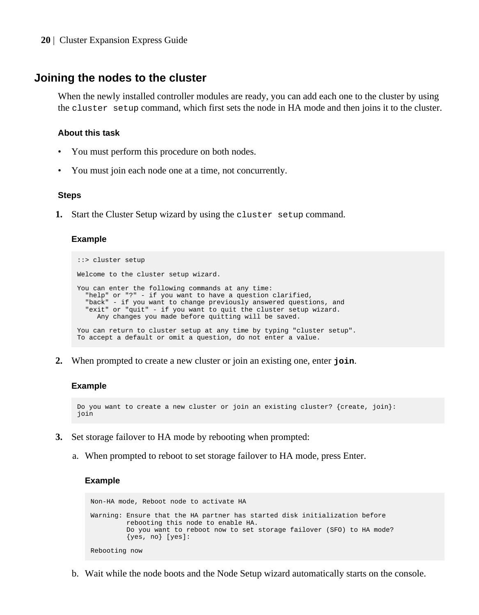#### <span id="page-19-0"></span>**Joining the nodes to the cluster**

When the newly installed controller modules are ready, you can add each one to the cluster by using the cluster setup command, which first sets the node in HA mode and then joins it to the cluster.

#### **About this task**

- You must perform this procedure on both nodes.
- You must join each node one at a time, not concurrently.

#### **Steps**

**1.** Start the Cluster Setup wizard by using the cluster setup command.

#### **Example**

```
::> cluster setup 
Welcome to the cluster setup wizard.
You can enter the following commands at any time:
 "help" or "?" - if you want to have a question clarified,
 "back" - if you want to change previously answered questions, and
   "exit" or "quit" - if you want to quit the cluster setup wizard.
      Any changes you made before quitting will be saved.
You can return to cluster setup at any time by typing "cluster setup".
To accept a default or omit a question, do not enter a value.
```
**2.** When prompted to create a new cluster or join an existing one, enter **join**.

#### **Example**

```
Do you want to create a new cluster or join an existing cluster? {create, join}:
join
```
- **3.** Set storage failover to HA mode by rebooting when prompted:
	- a. When prompted to reboot to set storage failover to HA mode, press Enter.

#### **Example**

```
Non-HA mode, Reboot node to activate HA
Warning: Ensure that the HA partner has started disk initialization before
          rebooting this node to enable HA.
          Do you want to reboot now to set storage failover (SFO) to HA mode?
         {yes, no} [yes]: 
Rebooting now
```
b. Wait while the node boots and the Node Setup wizard automatically starts on the console.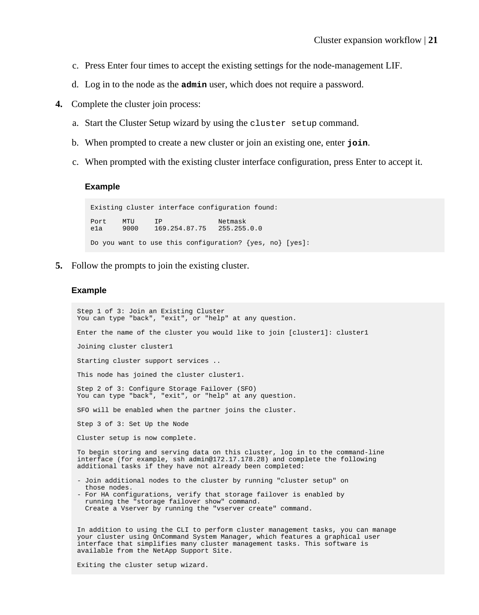- c. Press Enter four times to accept the existing settings for the node-management LIF.
- d. Log in to the node as the **admin** user, which does not require a password.
- **4.** Complete the cluster join process:
	- a. Start the Cluster Setup wizard by using the cluster setup command.
	- b. When prompted to create a new cluster or join an existing one, enter **join**.
	- c. When prompted with the existing cluster interface configuration, press Enter to accept it.

#### **Example**

Existing cluster interface configuration found: Port MTU IP Netmask e1a 9000 169.254.87.75 255.255.0.0 Do you want to use this configuration? {yes, no} [yes]:

**5.** Follow the prompts to join the existing cluster.

#### **Example**

Step 1 of 3: Join an Existing Cluster You can type "back", "exit", or "help" at any question. Enter the name of the cluster you would like to join [cluster1]: cluster1 Joining cluster cluster1 Starting cluster support services .. This node has joined the cluster cluster1. Step 2 of 3: Configure Storage Failover (SFO) You can type "back", "exit", or "help" at any question. SFO will be enabled when the partner joins the cluster. Step 3 of 3: Set Up the Node Cluster setup is now complete. To begin storing and serving data on this cluster, log in to the command-line interface (for example, ssh admin@172.17.178.28) and complete the following additional tasks if they have not already been completed: - Join additional nodes to the cluster by running "cluster setup" on those nodes. - For HA configurations, verify that storage failover is enabled by running the "storage failover show" command. Create a Vserver by running the "vserver create" command. In addition to using the CLI to perform cluster management tasks, you can manage your cluster using OnCommand System Manager, which features a graphical user interface that simplifies many cluster management tasks. This software is available from the NetApp Support Site.

Exiting the cluster setup wizard.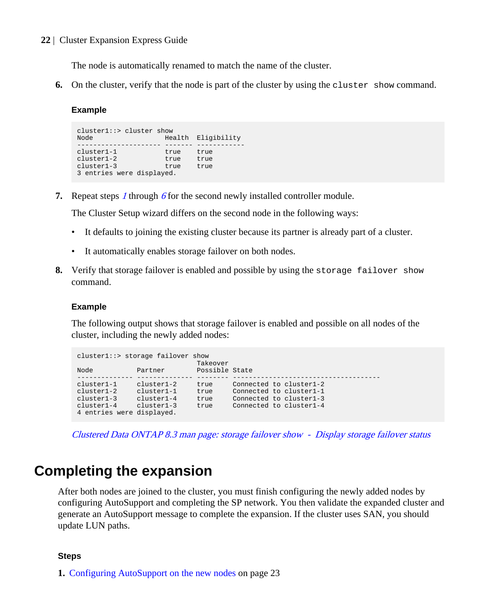<span id="page-21-0"></span>The node is automatically renamed to match the name of the cluster.

**6.** On the cluster, verify that the node is part of the cluster by using the cluster show command.

#### **Example**

```
cluster1::> cluster show
Node Health Eligibility
        --------------------- ------- ------------
cluster1-1<br>cluster1-2
cluster1-2 true true
cluster1-3 true true
3 entries were displayed.
```
**7.** Repeat steps [1](#page-19-0) through 6 for the second newly installed controller module.

The Cluster Setup wizard differs on the second node in the following ways:

- It defaults to joining the existing cluster because its partner is already part of a cluster.
- It automatically enables storage failover on both nodes.
- **8.** Verify that storage failover is enabled and possible by using the storage failover show command.

#### **Example**

The following output shows that storage failover is enabled and possible on all nodes of the cluster, including the newly added nodes:

|                           | cluster1::> storage failover show | Takeover       |                         |
|---------------------------|-----------------------------------|----------------|-------------------------|
| Node                      | Partner                           | Possible State |                         |
|                           |                                   |                |                         |
| $cluster1-1$              | $cluster1-2$                      | true           | Connected to cluster1-2 |
| $cluster1-2$              | $cluster1-1$                      | true           | Connected to cluster1-1 |
| $cluster1-3$              | $cluster1-4$                      | true           | Connected to cluster1-3 |
| $cluster1-4$              | $cluster1-3$                      | true           | Connected to cluster1-4 |
| 4 entries were displayed. |                                   |                |                         |

[Clustered Data ONTAP 8.3 man page: storage failover show - Display storage failover status](https://library.netapp.com/ecmdocs/ECMP1610202/html/storage/failover/show.html)

# **Completing the expansion**

After both nodes are joined to the cluster, you must finish configuring the newly added nodes by configuring AutoSupport and completing the SP network. You then validate the expanded cluster and generate an AutoSupport message to complete the expansion. If the cluster uses SAN, you should update LUN paths.

#### **Steps**

**1.** [Configuring AutoSupport on the new nodes](#page-22-0) on page 23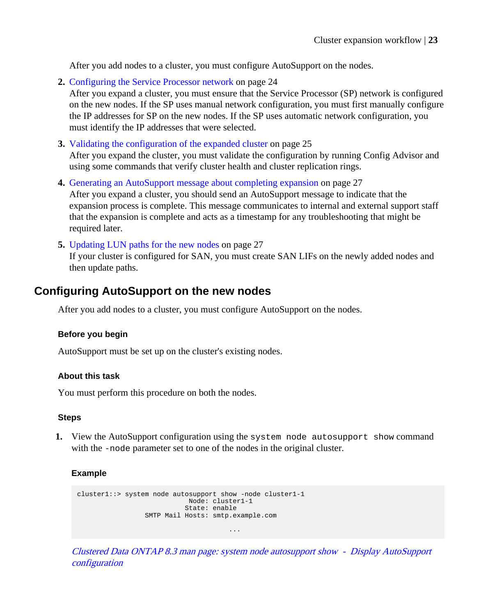<span id="page-22-0"></span>After you add nodes to a cluster, you must configure AutoSupport on the nodes.

**2.** [Configuring the Service Processor network](#page-23-0) on page 24

After you expand a cluster, you must ensure that the Service Processor (SP) network is configured on the new nodes. If the SP uses manual network configuration, you must first manually configure the IP addresses for SP on the new nodes. If the SP uses automatic network configuration, you must identify the IP addresses that were selected.

**3.** [Validating the configuration of the expanded cluster](#page-24-0) on page 25

After you expand the cluster, you must validate the configuration by running Config Advisor and using some commands that verify cluster health and cluster replication rings.

- **4.** [Generating an AutoSupport message about completing expansion](#page-26-0) on page 27 After you expand a cluster, you should send an AutoSupport message to indicate that the expansion process is complete. This message communicates to internal and external support staff that the expansion is complete and acts as a timestamp for any troubleshooting that might be required later.
- **5.** [Updating LUN paths for the new nodes](#page-26-0) on page 27

If your cluster is configured for SAN, you must create SAN LIFs on the newly added nodes and then update paths.

## **Configuring AutoSupport on the new nodes**

After you add nodes to a cluster, you must configure AutoSupport on the nodes.

#### **Before you begin**

AutoSupport must be set up on the cluster's existing nodes.

#### **About this task**

You must perform this procedure on both the nodes.

#### **Steps**

**1.** View the AutoSupport configuration using the system node autosupport show command with the -node parameter set to one of the nodes in the original cluster.

#### **Example**

```
cluster1::> system node autosupport show -node cluster1-1
 Node: cluster1-1
 State: enable
             SMTP Mail Hosts: smtp.example.com
 ...
```
[Clustered Data ONTAP 8.3 man page: system node autosupport show - Display AutoSupport](https://library.netapp.com/ecmdocs/ECMP1610202/html/system/node/autosupport/show.html) [configuration](https://library.netapp.com/ecmdocs/ECMP1610202/html/system/node/autosupport/show.html)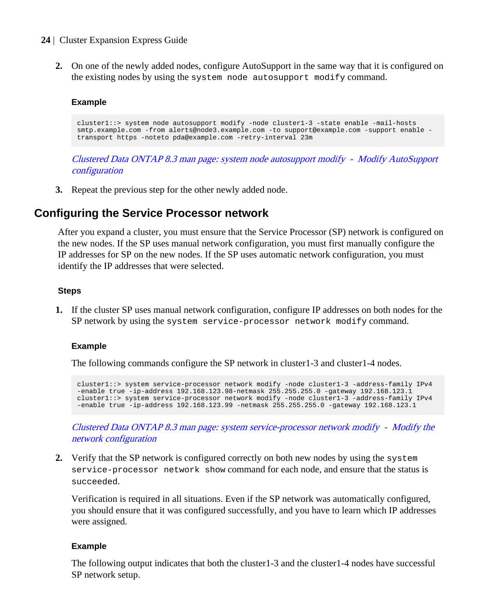<span id="page-23-0"></span>**2.** On one of the newly added nodes, configure AutoSupport in the same way that it is configured on the existing nodes by using the system node autosupport modify command.

#### **Example**

cluster1::> system node autosupport modify -node cluster1-3 -state enable -mail-hosts smtp.example.com -from alerts@node3.example.com -to support@example.com -support enable transport https -noteto pda@example.com -retry-interval 23m

[Clustered Data ONTAP 8.3 man page: system node autosupport modify - Modify AutoSupport](https://library.netapp.com/ecmdocs/ECMP1610202/html/system/node/autosupport/modify.html) [configuration](https://library.netapp.com/ecmdocs/ECMP1610202/html/system/node/autosupport/modify.html)

**3.** Repeat the previous step for the other newly added node.

## **Configuring the Service Processor network**

After you expand a cluster, you must ensure that the Service Processor (SP) network is configured on the new nodes. If the SP uses manual network configuration, you must first manually configure the IP addresses for SP on the new nodes. If the SP uses automatic network configuration, you must identify the IP addresses that were selected.

#### **Steps**

**1.** If the cluster SP uses manual network configuration, configure IP addresses on both nodes for the SP network by using the system service-processor network modify command.

#### **Example**

The following commands configure the SP network in cluster1-3 and cluster1-4 nodes.

```
cluster1::> system service-processor network modify -node cluster1-3 -address-family IPv4 
-enable true -ip-address 192.168.123.98-netmask 255.255.255.0 -gateway 192.168.123.1
cluster1::> system service-processor network modify -node cluster1-3 -address-family IPv4 
-enable true -ip-address 192.168.123.99 -netmask 255.255.255.0 -gateway 192.168.123.1
```
[Clustered Data ONTAP 8.3 man page: system service-processor network modify - Modify the](https://library.netapp.com/ecmdocs/ECMP1610202/html/system/service-processor/network/modify.html) [network configuration](https://library.netapp.com/ecmdocs/ECMP1610202/html/system/service-processor/network/modify.html)

**2.** Verify that the SP network is configured correctly on both new nodes by using the system service-processor network show command for each node, and ensure that the status is succeeded.

Verification is required in all situations. Even if the SP network was automatically configured, you should ensure that it was configured successfully, and you have to learn which IP addresses were assigned.

#### **Example**

The following output indicates that both the cluster1-3 and the cluster1-4 nodes have successful SP network setup.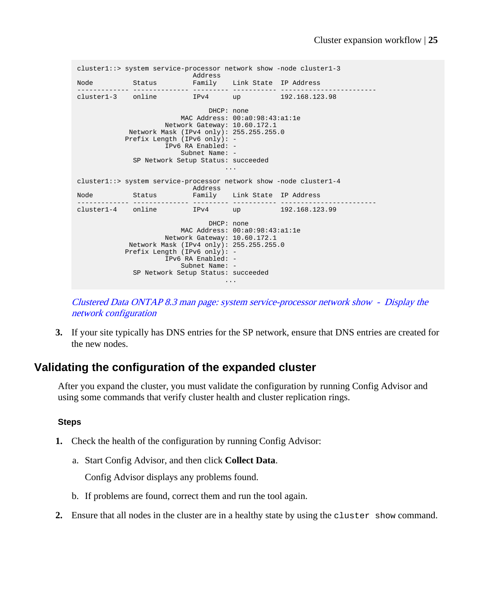```
cluster1::> system service-processor network show -node cluster1-3
 Address
Node Status Family Link State IP Address
------------- -------------- --------- ----------- ------------------------
cluster1-3 online IPv4 up
                               DHCP: none
                       MAC Address: 00:a0:98:43:a1:1e
                    Network Gateway: 10.60.172.1
 Network Mask (IPv4 only): 255.255.255.0
 Prefix Length (IPv6 only): -
                IPv6 RA Enabled: -
                        Subnet Name: -
            SP Network Setup Status: succeeded
 ...
cluster1::> system service-processor network show -node cluster1-4
 Address
Node Status Family Link State IP Address
------------- -------------- --------- ----------- ------------------------
cluster1-4 online IPv4 up 192.168.123.99
                               DHCP: none
                        MAC Address: 00:a0:98:43:a1:1e
                     Network Gateway: 10.60.172.1
            Network Mask (IPv4 only): 255.255.255.0
            Prefix Length (IPv6 only): -
                IPv6 RA Enabled: -
                      Subnet Name: -
            SP Network Setup Status: succeeded
 ...
```
[Clustered Data ONTAP 8.3 man page: system service-processor network show - Display the](https://library.netapp.com/ecmdocs/ECMP1610202/html/system/service-processor/network/show.html) [network configuration](https://library.netapp.com/ecmdocs/ECMP1610202/html/system/service-processor/network/show.html)

**3.** If your site typically has DNS entries for the SP network, ensure that DNS entries are created for the new nodes.

## **Validating the configuration of the expanded cluster**

After you expand the cluster, you must validate the configuration by running Config Advisor and using some commands that verify cluster health and cluster replication rings.

#### **Steps**

- **1.** Check the health of the configuration by running Config Advisor:
	- a. Start Config Advisor, and then click **Collect Data**.

Config Advisor displays any problems found.

- b. If problems are found, correct them and run the tool again.
- **2.** Ensure that all nodes in the cluster are in a healthy state by using the cluster show command.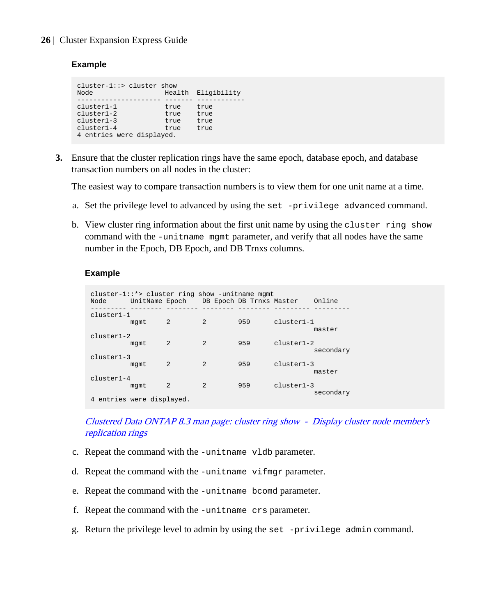#### **Example**

```
cluster-1::> cluster show
                       Health Eligibility
       --------------------- ------- ------------
cluster1-1 true true
cluster1-2 true true
cluster1-3 true true
cluster1-4 true true
4 entries were displayed.
```
**3.** Ensure that the cluster replication rings have the same epoch, database epoch, and database transaction numbers on all nodes in the cluster:

The easiest way to compare transaction numbers is to view them for one unit name at a time.

- a. Set the privilege level to advanced by using the set -privilege advanced command.
- b. View cluster ring information about the first unit name by using the cluster ring show command with the -unitname mgmt parameter, and verify that all nodes have the same number in the Epoch, DB Epoch, and DB Trnxs columns.

#### **Example**

| cluster-1::*> cluster ring show -unitname mgmt<br>Node | UnitName Epoch |                |                | DB Epoch DB Trnxs Master |              | Online    |
|--------------------------------------------------------|----------------|----------------|----------------|--------------------------|--------------|-----------|
| cluster1-1                                             | mgmt           | $\mathfrak{D}$ | $\mathfrak{D}$ | 959                      | $cluster1-1$ | master    |
| $cluster1-2$                                           | mgmt           | $\mathfrak{D}$ | $\mathfrak{D}$ | 959                      | $cluster1-2$ | secondary |
| cluster1-3                                             | mgmt           | $\mathfrak{D}$ | $\mathfrak{D}$ | 959                      | $cluster1-3$ | master    |
| $cluster1-4$<br>4 entries were displayed.              | mamt           | $\mathfrak{D}$ | $\mathfrak{D}$ | 959                      | $cluster1-3$ | secondary |

[Clustered Data ONTAP 8.3 man page: cluster ring show - Display cluster node member's](https://library.netapp.com/ecmdocs/ECMP1610202/html/cluster/ring/show.html) [replication rings](https://library.netapp.com/ecmdocs/ECMP1610202/html/cluster/ring/show.html)

- c. Repeat the command with the -unitname vldb parameter.
- d. Repeat the command with the -unitname vifmgr parameter.
- e. Repeat the command with the -unitname bcomd parameter.
- f. Repeat the command with the -unitname crs parameter.
- g. Return the privilege level to admin by using the set -privilege admin command.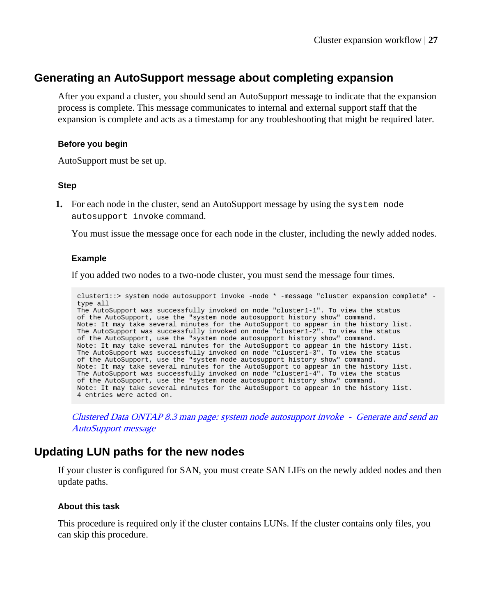## <span id="page-26-0"></span>**Generating an AutoSupport message about completing expansion**

After you expand a cluster, you should send an AutoSupport message to indicate that the expansion process is complete. This message communicates to internal and external support staff that the expansion is complete and acts as a timestamp for any troubleshooting that might be required later.

#### **Before you begin**

AutoSupport must be set up.

#### **Step**

**1.** For each node in the cluster, send an AutoSupport message by using the system node autosupport invoke command.

You must issue the message once for each node in the cluster, including the newly added nodes.

#### **Example**

If you added two nodes to a two-node cluster, you must send the message four times.

```
cluster1::> system node autosupport invoke -node * -message "cluster expansion complete" -
type all
The AutoSupport was successfully invoked on node "cluster1-1". To view the status 
of the AutoSupport, use the "system node autosupport history show" command. 
Note: It may take several minutes for the AutoSupport to appear in the history list.
The AutoSupport was successfully invoked on node "cluster1-2". To view the status 
of the AutoSupport, use the "system node autosupport history show" command. 
Note: It may take several minutes for the AutoSupport to appear in the history list.
The AutoSupport was successfully invoked on node "cluster1-3". To view the status 
of the AutoSupport, use the "system node autosupport history show" command. 
Note: It may take several minutes for the AutoSupport to appear in the history list.
The AutoSupport was successfully invoked on node "cluster1-4". To view the status 
of the AutoSupport, use the "system node autosupport history show" command. 
Note: It may take several minutes for the AutoSupport to appear in the history list.
4 entries were acted on.
```
[Clustered Data ONTAP 8.3 man page: system node autosupport invoke - Generate and send an](https://library.netapp.com/ecmdocs/ECMP1610202/html/system/node/autosupport/invoke.html) [AutoSupport message](https://library.netapp.com/ecmdocs/ECMP1610202/html/system/node/autosupport/invoke.html)

### **Updating LUN paths for the new nodes**

If your cluster is configured for SAN, you must create SAN LIFs on the newly added nodes and then update paths.

#### **About this task**

This procedure is required only if the cluster contains LUNs. If the cluster contains only files, you can skip this procedure.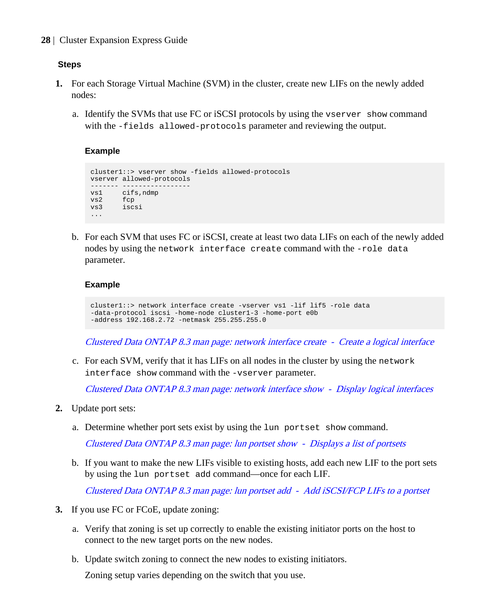#### **Steps**

- **1.** For each Storage Virtual Machine (SVM) in the cluster, create new LIFs on the newly added nodes:
	- a. Identify the SVMs that use FC or iSCSI protocols by using the vserver show command with the -fields allowed-protocols parameter and reviewing the output.

#### **Example**

```
cluster1::> vserver show -fields allowed-protocols
vserver allowed-protocols
------- -----------------
vs1 cifs,ndmp
vs2 fcp 
vs3 iscsi
...
```
b. For each SVM that uses FC or iSCSI, create at least two data LIFs on each of the newly added nodes by using the network interface create command with the -role data parameter.

#### **Example**

```
cluster1::> network interface create -vserver vs1 -lif lif5 -role data 
-data-protocol iscsi -home-node cluster1-3 -home-port e0b 
-address 192.168.2.72 -netmask 255.255.255.0
```
[Clustered Data ONTAP 8.3 man page: network interface create - Create a logical interface](https://library.netapp.com/ecmdocs/ECMP1610202/html/network/interface/create.html)

c. For each SVM, verify that it has LIFs on all nodes in the cluster by using the network interface show command with the -vserver parameter.

[Clustered Data ONTAP 8.3 man page: network interface show - Display logical interfaces](https://library.netapp.com/ecmdocs/ECMP1610202/html/network/interface/show.html)

- **2.** Update port sets:
	- a. Determine whether port sets exist by using the lun portset show command.

[Clustered Data ONTAP 8.3 man page: lun portset show - Displays a list of portsets](https://library.netapp.com/ecmdocs/ECMP1610202/html/lun/portset/show.html)

b. If you want to make the new LIFs visible to existing hosts, add each new LIF to the port sets by using the lun portset add command—once for each LIF.

[Clustered Data ONTAP 8.3 man page: lun portset add - Add iSCSI/FCP LIFs to a portset](https://library.netapp.com/ecmdocs/ECMP1610202/html/lun/portset/add.html)

- **3.** If you use FC or FCoE, update zoning:
	- a. Verify that zoning is set up correctly to enable the existing initiator ports on the host to connect to the new target ports on the new nodes.
	- b. Update switch zoning to connect the new nodes to existing initiators.

Zoning setup varies depending on the switch that you use.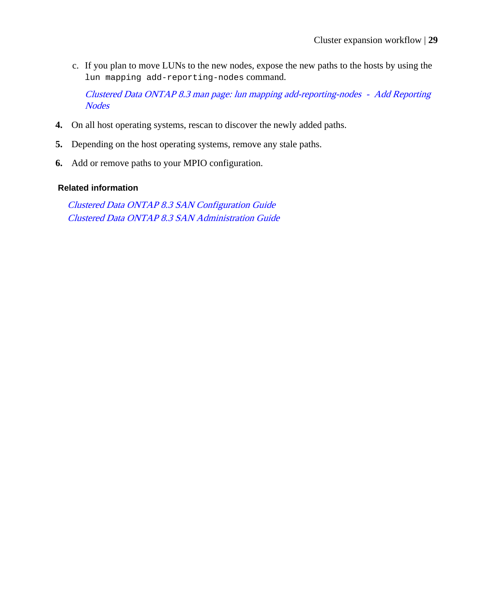c. If you plan to move LUNs to the new nodes, expose the new paths to the hosts by using the lun mapping add-reporting-nodes command.

[Clustered Data ONTAP 8.3 man page: lun mapping add-reporting-nodes - Add Reporting](https://library.netapp.com/ecmdocs/ECMP1610202/html/lun/mapping/add-reporting-nodes.html) **[Nodes](https://library.netapp.com/ecmdocs/ECMP1610202/html/lun/mapping/add-reporting-nodes.html)** 

- **4.** On all host operating systems, rescan to discover the newly added paths.
- **5.** Depending on the host operating systems, remove any stale paths.
- **6.** Add or remove paths to your MPIO configuration.

#### **Related information**

[Clustered Data ONTAP 8.3 SAN Configuration Guide](https://library.netapp.com/ecm/ecm_download_file/ECMP1636036) [Clustered Data ONTAP 8.3 SAN Administration Guide](https://library.netapp.com/ecm/ecm_download_file/ECMP1636035)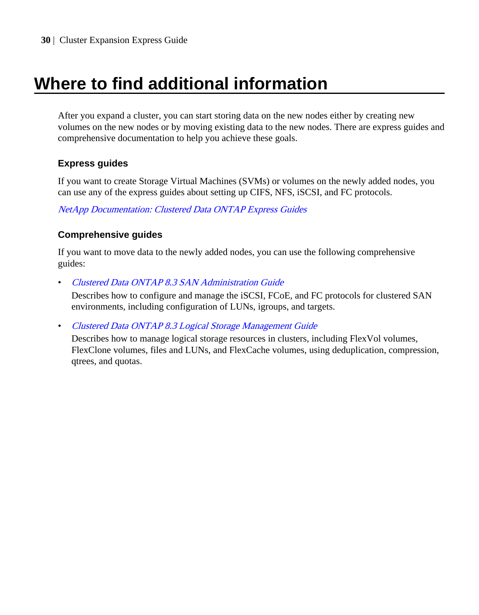# <span id="page-29-0"></span>**Where to find additional information**

After you expand a cluster, you can start storing data on the new nodes either by creating new volumes on the new nodes or by moving existing data to the new nodes. There are express guides and comprehensive documentation to help you achieve these goals.

### **Express guides**

If you want to create Storage Virtual Machines (SVMs) or volumes on the newly added nodes, you can use any of the express guides about setting up CIFS, NFS, iSCSI, and FC protocols.

[NetApp Documentation: Clustered Data ONTAP Express Guides](http://mysupport.netapp.com/documentation/docweb/index.html?productID=61885)

### **Comprehensive guides**

If you want to move data to the newly added nodes, you can use the following comprehensive guides:

• [Clustered Data ONTAP 8.3 SAN Administration Guide](https://library.netapp.com/ecm/ecm_download_file/ECMP1636035)

Describes how to configure and manage the iSCSI, FCoE, and FC protocols for clustered SAN environments, including configuration of LUNs, igroups, and targets.

• [Clustered Data ONTAP 8.3 Logical Storage Management Guide](https://library.netapp.com/ecm/ecm_download_file/ECMP1610211)

Describes how to manage logical storage resources in clusters, including FlexVol volumes, FlexClone volumes, files and LUNs, and FlexCache volumes, using deduplication, compression, qtrees, and quotas.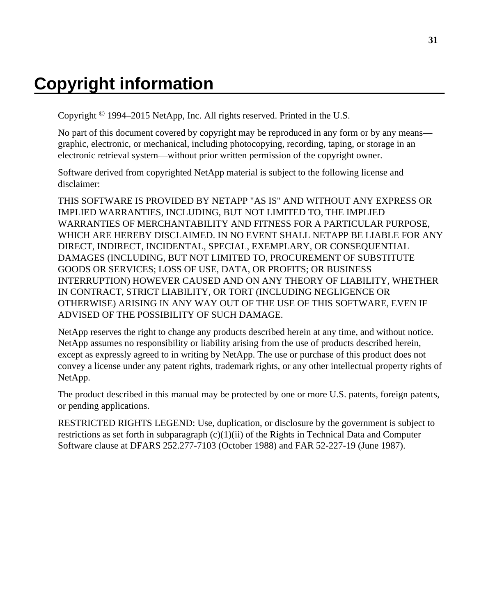# <span id="page-30-0"></span>**Copyright information**

Copyright © 1994–2015 NetApp, Inc. All rights reserved. Printed in the U.S.

No part of this document covered by copyright may be reproduced in any form or by any means graphic, electronic, or mechanical, including photocopying, recording, taping, or storage in an electronic retrieval system—without prior written permission of the copyright owner.

Software derived from copyrighted NetApp material is subject to the following license and disclaimer:

THIS SOFTWARE IS PROVIDED BY NETAPP "AS IS" AND WITHOUT ANY EXPRESS OR IMPLIED WARRANTIES, INCLUDING, BUT NOT LIMITED TO, THE IMPLIED WARRANTIES OF MERCHANTABILITY AND FITNESS FOR A PARTICULAR PURPOSE, WHICH ARE HEREBY DISCLAIMED. IN NO EVENT SHALL NETAPP BE LIABLE FOR ANY DIRECT, INDIRECT, INCIDENTAL, SPECIAL, EXEMPLARY, OR CONSEQUENTIAL DAMAGES (INCLUDING, BUT NOT LIMITED TO, PROCUREMENT OF SUBSTITUTE GOODS OR SERVICES; LOSS OF USE, DATA, OR PROFITS; OR BUSINESS INTERRUPTION) HOWEVER CAUSED AND ON ANY THEORY OF LIABILITY, WHETHER IN CONTRACT, STRICT LIABILITY, OR TORT (INCLUDING NEGLIGENCE OR OTHERWISE) ARISING IN ANY WAY OUT OF THE USE OF THIS SOFTWARE, EVEN IF ADVISED OF THE POSSIBILITY OF SUCH DAMAGE.

NetApp reserves the right to change any products described herein at any time, and without notice. NetApp assumes no responsibility or liability arising from the use of products described herein, except as expressly agreed to in writing by NetApp. The use or purchase of this product does not convey a license under any patent rights, trademark rights, or any other intellectual property rights of NetApp.

The product described in this manual may be protected by one or more U.S. patents, foreign patents, or pending applications.

RESTRICTED RIGHTS LEGEND: Use, duplication, or disclosure by the government is subject to restrictions as set forth in subparagraph  $(c)(1)(ii)$  of the Rights in Technical Data and Computer Software clause at DFARS 252.277-7103 (October 1988) and FAR 52-227-19 (June 1987).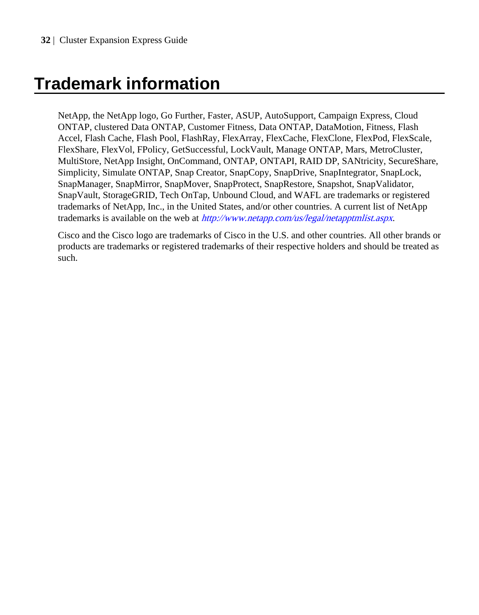# <span id="page-31-0"></span>**Trademark information**

NetApp, the NetApp logo, Go Further, Faster, ASUP, AutoSupport, Campaign Express, Cloud ONTAP, clustered Data ONTAP, Customer Fitness, Data ONTAP, DataMotion, Fitness, Flash Accel, Flash Cache, Flash Pool, FlashRay, FlexArray, FlexCache, FlexClone, FlexPod, FlexScale, FlexShare, FlexVol, FPolicy, GetSuccessful, LockVault, Manage ONTAP, Mars, MetroCluster, MultiStore, NetApp Insight, OnCommand, ONTAP, ONTAPI, RAID DP, SANtricity, SecureShare, Simplicity, Simulate ONTAP, Snap Creator, SnapCopy, SnapDrive, SnapIntegrator, SnapLock, SnapManager, SnapMirror, SnapMover, SnapProtect, SnapRestore, Snapshot, SnapValidator, SnapVault, StorageGRID, Tech OnTap, Unbound Cloud, and WAFL are trademarks or registered trademarks of NetApp, Inc., in the United States, and/or other countries. A current list of NetApp trademarks is available on the web at <http://www.netapp.com/us/legal/netapptmlist.aspx>.

Cisco and the Cisco logo are trademarks of Cisco in the U.S. and other countries. All other brands or products are trademarks or registered trademarks of their respective holders and should be treated as such.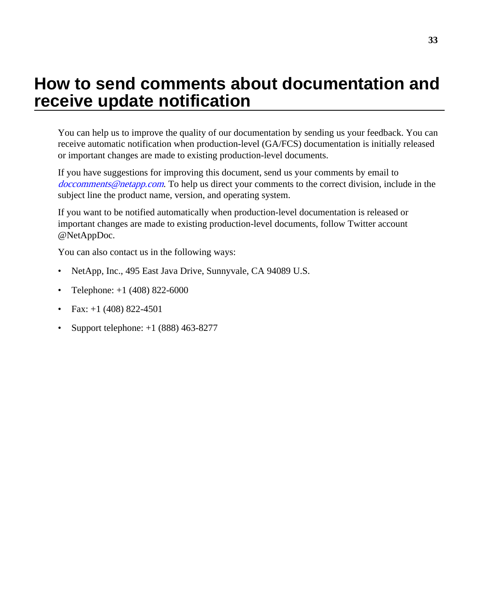# <span id="page-32-0"></span>**How to send comments about documentation and receive update notification**

You can help us to improve the quality of our documentation by sending us your feedback. You can receive automatic notification when production-level (GA/FCS) documentation is initially released or important changes are made to existing production-level documents.

If you have suggestions for improving this document, send us your comments by email to [doccomments@netapp.com](mailto:doccomments@netapp.com). To help us direct your comments to the correct division, include in the subject line the product name, version, and operating system.

If you want to be notified automatically when production-level documentation is released or important changes are made to existing production-level documents, follow Twitter account @NetAppDoc.

You can also contact us in the following ways:

- NetApp, Inc., 495 East Java Drive, Sunnyvale, CA 94089 U.S.
- Telephone:  $+1$  (408) 822-6000
- Fax:  $+1$  (408) 822-4501
- Support telephone:  $+1$  (888) 463-8277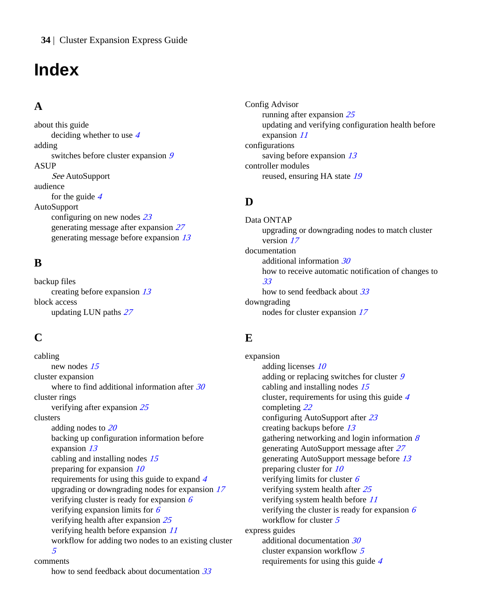# <span id="page-33-0"></span>**Index**

# **A**

about this guide deciding whether to use [4](#page-3-0) adding switches before cluster expansion [9](#page-8-0) ASUP See AutoSupport audience for the guide  $4$ AutoSupport configuring on new nodes [23](#page-22-0) generating message after expansion [27](#page-26-0) generating message before expansion [13](#page-12-0)

## **B**

backup files creating before expansion [13](#page-12-0) block access updating LUN paths [27](#page-26-0)

# **C**

cabling new nodes [15](#page-14-0) cluster expansion where to find additional information after  $30$ cluster rings verifying after expansion [25](#page-24-0) clusters adding nodes to [20](#page-19-0) backing up configuration information before expansion [13](#page-12-0) cabling and installing nodes [15](#page-14-0) preparing for expansion  $10$ requirements for using this guide to expand [4](#page-3-0) upgrading or downgrading nodes for expansion [17](#page-16-0) verifying cluster is ready for expansion  $6$ verifying expansion limits for  $6$ verifying health after expansion [25](#page-24-0) verifying health before expansion [11](#page-10-0) workflow for adding two nodes to an existing cluster [5](#page-4-0)

comments

how to send feedback about documentation [33](#page-32-0)

Config Advisor running after expansion [25](#page-24-0) updating and verifying configuration health before expansion [11](#page-10-0) configurations saving before expansion [13](#page-12-0) controller modules reused, ensuring HA state [19](#page-18-0)

# **D**

Data ONTAP upgrading or downgrading nodes to match cluster version [17](#page-16-0) documentation additional information [30](#page-29-0) how to receive automatic notification of changes to [33](#page-32-0) how to send feedback about [33](#page-32-0) downgrading nodes for cluster expansion [17](#page-16-0)

# **E**

expansion adding licenses [10](#page-9-0) adding or replacing switches for cluster [9](#page-8-0) cabling and installing nodes [15](#page-14-0) cluster, requirements for using this guide [4](#page-3-0) completing [22](#page-21-0) configuring AutoSupport after [23](#page-22-0) creating backups before [13](#page-12-0) gathering networking and login information  $\delta$ generating AutoSupport message after [27](#page-26-0) generating AutoSupport message before [13](#page-12-0) preparing cluster for [10](#page-9-0) verifying limits for cluster [6](#page-5-0) verifying system health after [25](#page-24-0) verifying system health before [11](#page-10-0) verifying the cluster is ready for expansion  $6$ workflow for cluster [5](#page-4-0) express guides additional documentation [30](#page-29-0) cluster expansion workflow [5](#page-4-0) requirements for using this guide [4](#page-3-0)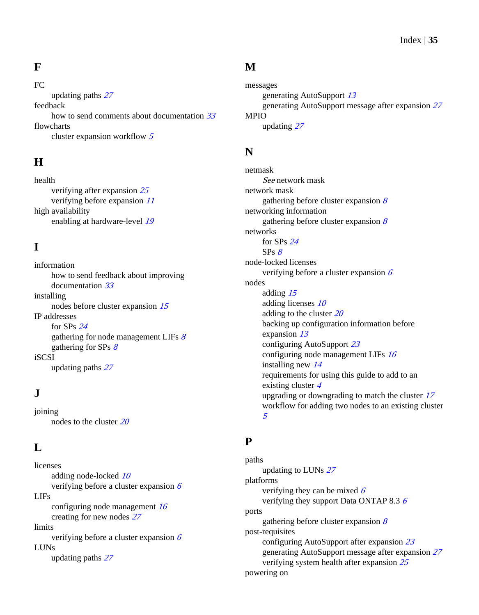## **F**

FC updating paths [27](#page-26-0) feedback how to send comments about documentation  $33$ flowcharts cluster expansion workflow [5](#page-4-0)

# **H**

health verifying after expansion [25](#page-24-0) verifying before expansion [11](#page-10-0) high availability enabling at hardware-level [19](#page-18-0)

# **I**

information how to send feedback about improving documentation [33](#page-32-0) installing nodes before cluster expansion [15](#page-14-0) IP addresses for SPs [24](#page-23-0) gathering for node management LIFs  $\delta$ gathering for SPs  $8$ iSCSI updating paths [27](#page-26-0)

# **J**

joining nodes to the cluster [20](#page-19-0)

## **L**

licenses adding node-locked [10](#page-9-0) verifying before a cluster expansion  $6$ LIFs configuring node management  $16$ creating for new nodes [27](#page-26-0) limits verifying before a cluster expansion  $6$ LUNs updating paths [27](#page-26-0)

## **M**

messages generating AutoSupport [13](#page-12-0) generating AutoSupport message after expansion [27](#page-26-0) MPIO updating [27](#page-26-0)

### **N**

netmask See network mask network mask gathering before cluster expansion  $8$ networking information gathering before cluster expansion  $8$ networks for SPs [24](#page-23-0)  $SPs \, g$ node-locked licenses verifying before a cluster expansion  $6$ nodes adding [15](#page-14-0) adding licenses [10](#page-9-0) adding to the cluster  $20$ backing up configuration information before expansion [13](#page-12-0) configuring AutoSupport [23](#page-22-0) configuring node management LIFs  $16$ installing new [14](#page-13-0) requirements for using this guide to add to an existing cluster [4](#page-3-0) upgrading or downgrading to match the cluster [17](#page-16-0) workflow for adding two nodes to an existing cluster [5](#page-4-0)

## **P**

paths updating to LUNs [27](#page-26-0) platforms verifying they can be mixed  $\delta$ verifying they support Data ONTAP 8.3 [6](#page-5-0) ports gathering before cluster expansion  $8$ post-requisites configuring AutoSupport after expansion [23](#page-22-0) generating AutoSupport message after expansion [27](#page-26-0) verifying system health after expansion [25](#page-24-0) powering on